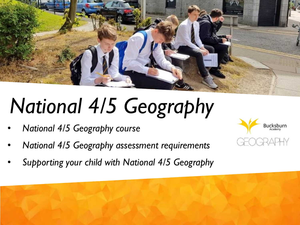

# *National 4/5 Geography*

- *National 4/5 Geography course*
- *National 4/5 Geography assessment requirements*
- *Supporting your child with National 4/5 Geography*



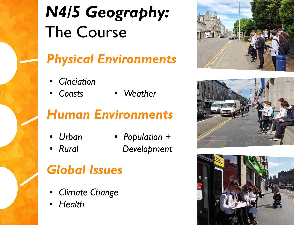

## *Physical Environments*

- *Glaciation*
- *Coasts Weather*

## *Human Environments*

• *Urban*

• *Rural*

• *Population + Development*

## *Global Issues*

- *Climate Change*
- *Health*





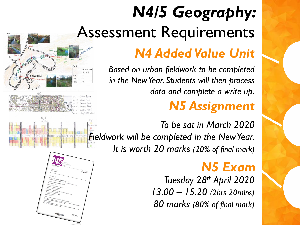## *N4/5 Geography:*  Assessment Requirements

### *N4 Added Value Unit*

*Based on urban fieldwork to be completed in the New Year. Students will then process data and complete a write up.*

## *N5 Assignment*

*To be sat in March 2020 Fieldwork will be completed in the New Year. It is worth 20 marks (20% of final mark)*

### *N5 Exam*

*Tuesday 28th April 2020 13.00 – 15.20 (2hrs 20mins) 80 marks (80% of final mark)*



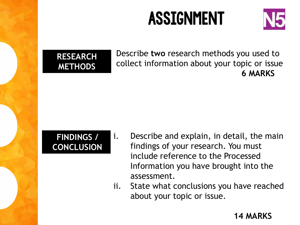## **ASSIGNMENT**





Describe **two** research methods you used to collect information about your topic or issue **6 MARKS**

### **FINDINGS / CONCLUSION**

- i. Describe and explain, in detail, the main findings of your research. You must include reference to the Processed Information you have brought into the assessment.
- ii. State what conclusions you have reached about your topic or issue.

#### **14 MARKS**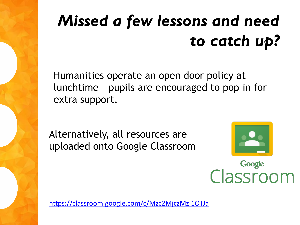## *Missed a few lessons and need to catch up?*

Humanities operate an open door policy at lunchtime – pupils are encouraged to pop in for extra support.

Alternatively, all resources are uploaded onto Google Classroom



Google<br>Classroom

<https://classroom.google.com/c/Mzc2MjczMzI1OTJa>